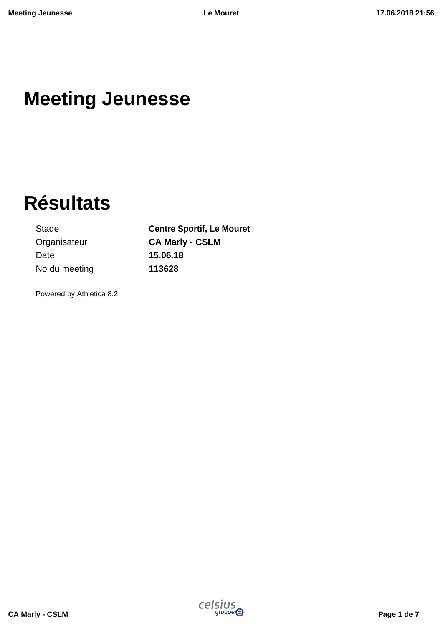## **Meeting Jeunesse**

# **Résultats**

Stade **Centre Sportif, Le Mouret** Organisateur **CA Marly - CSLM** Date **15.06.18** No du meeting **113628**

Powered by Athletica 8.2

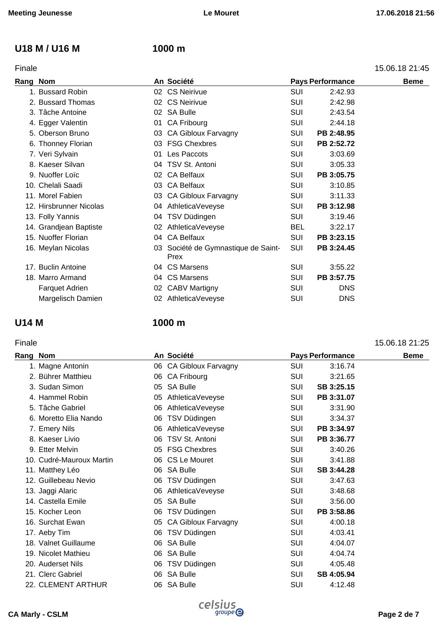### **U18 M / U16 M 1000 m**

| Finale | 15.06.18 21:45 |
|--------|----------------|
|        |                |

| Rang Nom |                         |    | An Société                                  |            | <b>Pays Performance</b> | <b>Beme</b> |
|----------|-------------------------|----|---------------------------------------------|------------|-------------------------|-------------|
|          | 1. Bussard Robin        |    | 02 CS Neirivue                              | SUI        | 2:42.93                 |             |
|          | 2. Bussard Thomas       |    | 02 CS Neirivue                              | SUI        | 2:42.98                 |             |
|          | 3. Tâche Antoine        |    | 02 SA Bulle                                 | SUI        | 2:43.54                 |             |
|          | 4. Egger Valentin       |    | 01 CA Fribourg                              | SUI        | 2:44.18                 |             |
|          | 5. Oberson Bruno        |    | 03 CA Gibloux Farvagny                      | <b>SUI</b> | PB 2:48.95              |             |
|          | 6. Thonney Florian      |    | 03 FSG Chexbres                             | SUI        | PB 2:52.72              |             |
|          | 7. Veri Sylvain         | 01 | Les Paccots                                 | <b>SUI</b> | 3:03.69                 |             |
|          | 8. Kaeser Silvan        |    | 04 TSV St. Antoni                           | SUI        | 3:05.33                 |             |
|          | 9. Nuoffer Loïc         |    | 02 CA Belfaux                               | SUI        | PB 3:05.75              |             |
|          | 10. Chelali Saadi       |    | 03 CA Belfaux                               | SUI        | 3:10.85                 |             |
|          | 11. Morel Fabien        |    | 03 CA Gibloux Farvagny                      | SUI        | 3:11.33                 |             |
|          | 12. Hirsbrunner Nicolas |    | 04 AthleticaVeveyse                         | <b>SUI</b> | PB 3:12.98              |             |
|          | 13. Folly Yannis        | 04 | TSV Düdingen                                | SUI        | 3:19.46                 |             |
|          | 14. Grandjean Baptiste  |    | 02 AthleticaVeveyse                         | <b>BEL</b> | 3:22.17                 |             |
|          | 15. Nuoffer Florian     |    | 04 CA Belfaux                               | <b>SUI</b> | PB 3:23.15              |             |
|          | 16. Meylan Nicolas      |    | 03 Société de Gymnastique de Saint-<br>Prex | SUI        | PB 3:24.45              |             |
|          | 17. Buclin Antoine      |    | 04 CS Marsens                               | <b>SUI</b> | 3:55.22                 |             |
|          | 18. Marro Armand        |    | 04 CS Marsens                               | SUI        | PB 3:57.75              |             |
|          | <b>Farquet Adrien</b>   |    | 02 CABV Martigny                            | SUI        | <b>DNS</b>              |             |
|          | Margelisch Damien       |    | 02 AthleticaVeveyse                         | <b>SUI</b> | <b>DNS</b>              |             |

### **U14 M 1000 m**

### Finale 15.06.18 21:25

|                                                                                                                                                                                                                                                                                                                                                                                                                                                                                    |                                                                                                                                                                                                                                                                                                                                                                                                                                   |            | <b>Beme</b>                           |
|------------------------------------------------------------------------------------------------------------------------------------------------------------------------------------------------------------------------------------------------------------------------------------------------------------------------------------------------------------------------------------------------------------------------------------------------------------------------------------|-----------------------------------------------------------------------------------------------------------------------------------------------------------------------------------------------------------------------------------------------------------------------------------------------------------------------------------------------------------------------------------------------------------------------------------|------------|---------------------------------------|
|                                                                                                                                                                                                                                                                                                                                                                                                                                                                                    | <b>SUI</b>                                                                                                                                                                                                                                                                                                                                                                                                                        | 3:16.74    |                                       |
|                                                                                                                                                                                                                                                                                                                                                                                                                                                                                    | <b>SUI</b>                                                                                                                                                                                                                                                                                                                                                                                                                        | 3:21.65    |                                       |
| 05                                                                                                                                                                                                                                                                                                                                                                                                                                                                                 | SUI                                                                                                                                                                                                                                                                                                                                                                                                                               | SB 3:25.15 |                                       |
| 05                                                                                                                                                                                                                                                                                                                                                                                                                                                                                 | <b>SUI</b>                                                                                                                                                                                                                                                                                                                                                                                                                        | PB 3:31.07 |                                       |
| 06                                                                                                                                                                                                                                                                                                                                                                                                                                                                                 | <b>SUI</b>                                                                                                                                                                                                                                                                                                                                                                                                                        | 3:31.90    |                                       |
| 06                                                                                                                                                                                                                                                                                                                                                                                                                                                                                 | <b>SUI</b>                                                                                                                                                                                                                                                                                                                                                                                                                        | 3:34.37    |                                       |
| 06                                                                                                                                                                                                                                                                                                                                                                                                                                                                                 | <b>SUI</b>                                                                                                                                                                                                                                                                                                                                                                                                                        |            |                                       |
| 06                                                                                                                                                                                                                                                                                                                                                                                                                                                                                 | <b>SUI</b>                                                                                                                                                                                                                                                                                                                                                                                                                        | PB 3:36.77 |                                       |
|                                                                                                                                                                                                                                                                                                                                                                                                                                                                                    | <b>SUI</b>                                                                                                                                                                                                                                                                                                                                                                                                                        | 3:40.26    |                                       |
|                                                                                                                                                                                                                                                                                                                                                                                                                                                                                    | <b>SUI</b>                                                                                                                                                                                                                                                                                                                                                                                                                        | 3:41.88    |                                       |
|                                                                                                                                                                                                                                                                                                                                                                                                                                                                                    | <b>SUI</b>                                                                                                                                                                                                                                                                                                                                                                                                                        | SB 3:44.28 |                                       |
| 06                                                                                                                                                                                                                                                                                                                                                                                                                                                                                 | <b>SUI</b>                                                                                                                                                                                                                                                                                                                                                                                                                        | 3:47.63    |                                       |
|                                                                                                                                                                                                                                                                                                                                                                                                                                                                                    | <b>SUI</b>                                                                                                                                                                                                                                                                                                                                                                                                                        | 3:48.68    |                                       |
|                                                                                                                                                                                                                                                                                                                                                                                                                                                                                    | <b>SUI</b>                                                                                                                                                                                                                                                                                                                                                                                                                        | 3:56.00    |                                       |
| 06                                                                                                                                                                                                                                                                                                                                                                                                                                                                                 | <b>SUI</b>                                                                                                                                                                                                                                                                                                                                                                                                                        | PB 3:58.86 |                                       |
| 05                                                                                                                                                                                                                                                                                                                                                                                                                                                                                 | <b>SUI</b>                                                                                                                                                                                                                                                                                                                                                                                                                        | 4:00.18    |                                       |
| 06                                                                                                                                                                                                                                                                                                                                                                                                                                                                                 | <b>SUI</b>                                                                                                                                                                                                                                                                                                                                                                                                                        | 4:03.41    |                                       |
| 06                                                                                                                                                                                                                                                                                                                                                                                                                                                                                 | <b>SUI</b>                                                                                                                                                                                                                                                                                                                                                                                                                        | 4:04.07    |                                       |
|                                                                                                                                                                                                                                                                                                                                                                                                                                                                                    | <b>SUI</b>                                                                                                                                                                                                                                                                                                                                                                                                                        | 4:04.74    |                                       |
| 06                                                                                                                                                                                                                                                                                                                                                                                                                                                                                 | <b>SUI</b>                                                                                                                                                                                                                                                                                                                                                                                                                        | 4:05.48    |                                       |
| 06                                                                                                                                                                                                                                                                                                                                                                                                                                                                                 | <b>SUI</b>                                                                                                                                                                                                                                                                                                                                                                                                                        | SB 4:05.94 |                                       |
| 06                                                                                                                                                                                                                                                                                                                                                                                                                                                                                 | <b>SUI</b>                                                                                                                                                                                                                                                                                                                                                                                                                        | 4:12.48    |                                       |
| Rang Nom<br>1. Magne Antonin<br>2. Bührer Matthieu<br>3. Sudan Simon<br>4. Hammel Robin<br>5. Tâche Gabriel<br>6. Moretto Elia Nando<br>7. Emery Nils<br>8. Kaeser Livio<br>9. Etter Melvin<br>10. Cudré-Mauroux Martin<br>11. Matthey Léo<br>12. Guillebeau Nevio<br>13. Jaggi Alaric<br>14. Castella Emile<br>15. Kocher Leon<br>16. Surchat Ewan<br>17. Aeby Tim<br>18. Valnet Guillaume<br>19. Nicolet Mathieu<br>20. Auderset Nils<br>21. Clerc Gabriel<br>22. CLEMENT ARTHUR | An Société<br>06 CA Gibloux Farvagny<br>06 CA Fribourg<br>SA Bulle<br>AthleticaVeveyse<br>AthleticaVeveyse<br>TSV Düdingen<br>AthleticaVeveyse<br>TSV St. Antoni<br>05 FSG Chexbres<br>06 CS Le Mouret<br>06 SA Bulle<br>TSV Düdingen<br>06 AthleticaVeveyse<br>05 SA Bulle<br>TSV Düdingen<br><b>CA Gibloux Farvagny</b><br>TSV Düdingen<br><b>SA Bulle</b><br>06 SA Bulle<br>TSV Düdingen<br><b>SA Bulle</b><br><b>SA Bulle</b> |            | <b>Pays Performance</b><br>PB 3:34.97 |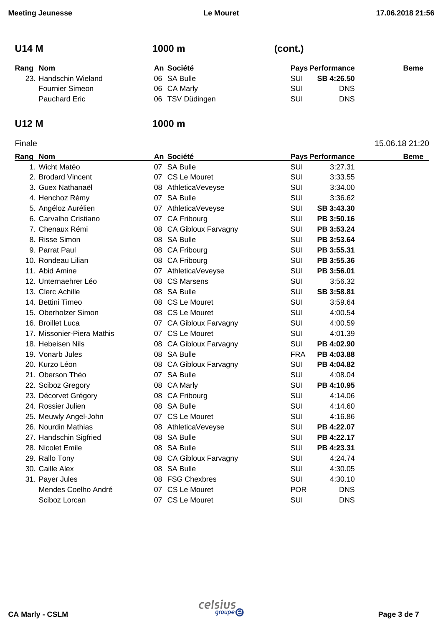| <b>U14 M</b>           | 1000 m          | (cont.)                 |             |
|------------------------|-----------------|-------------------------|-------------|
| Rang Nom               | An Société      | <b>Pays Performance</b> | <b>Beme</b> |
| 23. Handschin Wieland  | 06 SA Bulle     | SB 4:26.50<br>SUI       |             |
| <b>Fournier Simeon</b> | 06 CA Marly     | <b>DNS</b><br>SUI       |             |
| <b>Pauchard Eric</b>   | 06 TSV Düdingen | <b>DNS</b><br>SUI       |             |

Finale 15.06.18 21:20

### **U12 M 1000 m**

| Rang Nom |                            | An Société             |            | <b>Pays Performance</b> | <b>Beme</b> |
|----------|----------------------------|------------------------|------------|-------------------------|-------------|
|          | 1. Wicht Matéo             | 07 SA Bulle            | SUI        | 3:27.31                 |             |
|          | 2. Brodard Vincent         | 07 CS Le Mouret        | <b>SUI</b> | 3:33.55                 |             |
|          | 3. Guex Nathanaël          | 08 AthleticaVeveyse    | <b>SUI</b> | 3:34.00                 |             |
|          | 4. Henchoz Rémy            | 07 SA Bulle            | <b>SUI</b> | 3:36.62                 |             |
|          | 5. Angéloz Aurélien        | 07 AthleticaVeveyse    | <b>SUI</b> | SB 3:43.30              |             |
|          | 6. Carvalho Cristiano      | 07 CA Fribourg         | SUI        | PB 3:50.16              |             |
|          | 7. Chenaux Rémi            | 08 CA Gibloux Farvagny | <b>SUI</b> | PB 3:53.24              |             |
|          | 8. Risse Simon             | 08 SA Bulle            | <b>SUI</b> | PB 3:53.64              |             |
|          | 9. Parrat Paul             | 08 CA Fribourg         | <b>SUI</b> | PB 3:55.31              |             |
|          | 10. Rondeau Lilian         | 08 CA Fribourg         | <b>SUI</b> | PB 3:55.36              |             |
|          | 11. Abid Amine             | 07 AthleticaVeveyse    | <b>SUI</b> | PB 3:56.01              |             |
|          | 12. Unternaehrer Léo       | 08 CS Marsens          | SUI        | 3:56.32                 |             |
|          | 13. Clerc Achille          | 08 SA Bulle            | <b>SUI</b> | SB 3:58.81              |             |
|          | 14. Bettini Timeo          | 08 CS Le Mouret        | <b>SUI</b> | 3:59.64                 |             |
|          | 15. Oberholzer Simon       | 08 CS Le Mouret        | <b>SUI</b> | 4:00.54                 |             |
|          | 16. Broillet Luca          | 07 CA Gibloux Farvagny | SUI        | 4:00.59                 |             |
|          | 17. Missonier-Piera Mathis | 07 CS Le Mouret        | <b>SUI</b> | 4:01.39                 |             |
|          | 18. Hebeisen Nils          | 08 CA Gibloux Farvagny | <b>SUI</b> | PB 4:02.90              |             |
|          | 19. Vonarb Jules           | 08 SA Bulle            | <b>FRA</b> | PB 4:03.88              |             |
|          | 20. Kurzo Léon             | 08 CA Gibloux Farvagny | SUI        | PB 4:04.82              |             |
|          | 21. Oberson Théo           | 07 SA Bulle            | <b>SUI</b> | 4:08.04                 |             |
|          | 22. Sciboz Gregory         | 08 CA Marly            | SUI        | PB 4:10.95              |             |
|          | 23. Décorvet Grégory       | 08 CA Fribourg         | <b>SUI</b> | 4:14.06                 |             |
|          | 24. Rossier Julien         | 08 SA Bulle            | <b>SUI</b> | 4:14.60                 |             |
|          | 25. Meuwly Angel-John      | 07 CS Le Mouret        | <b>SUI</b> | 4:16.86                 |             |
|          | 26. Nourdin Mathias        | 08 AthleticaVeveyse    | <b>SUI</b> | PB 4:22.07              |             |
|          | 27. Handschin Sigfried     | 08 SA Bulle            | <b>SUI</b> | PB 4:22.17              |             |
|          | 28. Nicolet Emile          | 08 SA Bulle            | <b>SUI</b> | PB 4:23.31              |             |
|          | 29. Rallo Tony             | 08 CA Gibloux Farvagny | <b>SUI</b> | 4:24.74                 |             |
|          | 30. Caille Alex            | 08 SA Bulle            | <b>SUI</b> | 4:30.05                 |             |
|          | 31. Payer Jules            | 08 FSG Chexbres        | <b>SUI</b> | 4:30.10                 |             |
|          | Mendes Coelho André        | 07 CS Le Mouret        | <b>POR</b> | <b>DNS</b>              |             |
|          | Sciboz Lorcan              | 07 CS Le Mouret        | SUI        | <b>DNS</b>              |             |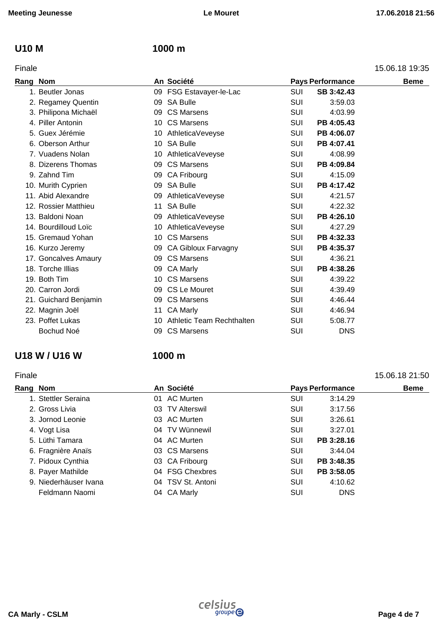### **U10 M 1000 m**

| Finale | 15.06.18 19:35 |
|--------|----------------|
|        |                |

| Rang | <b>Nom</b>            |    | An Société                   |            | <b>Pays Performance</b> | <b>Beme</b> |
|------|-----------------------|----|------------------------------|------------|-------------------------|-------------|
|      | 1. Beutler Jonas      |    | 09 FSG Estavayer-le-Lac      | SUI        | SB 3:42.43              |             |
|      | 2. Regamey Quentin    |    | 09 SA Bulle                  | <b>SUI</b> | 3:59.03                 |             |
|      | 3. Philipona Michaël  |    | 09 CS Marsens                | <b>SUI</b> | 4:03.99                 |             |
|      | 4. Piller Antonin     | 10 | <b>CS Marsens</b>            | <b>SUI</b> | PB 4:05.43              |             |
|      | 5. Guex Jérémie       |    | 10 AthleticaVeveyse          | SUI        | PB 4:06.07              |             |
|      | 6. Oberson Arthur     |    | 10 SA Bulle                  | <b>SUI</b> | PB 4:07.41              |             |
|      | 7. Vuadens Nolan      | 10 | AthleticaVeveyse             | <b>SUI</b> | 4:08.99                 |             |
|      | 8. Dizerens Thomas    | 09 | <b>CS Marsens</b>            | <b>SUI</b> | PB 4:09.84              |             |
|      | 9. Zahnd Tim          |    | 09 CA Fribourg               | <b>SUI</b> | 4:15.09                 |             |
|      | 10. Murith Cyprien    | 09 | <b>SA Bulle</b>              | SUI        | PB 4:17.42              |             |
|      | 11. Abid Alexandre    |    | 09 AthleticaVeveyse          | SUI        | 4:21.57                 |             |
|      | 12. Rossier Matthieu  | 11 | <b>SA Bulle</b>              | <b>SUI</b> | 4:22.32                 |             |
|      | 13. Baldoni Noan      | 09 | AthleticaVeveyse             | <b>SUI</b> | PB 4:26.10              |             |
|      | 14. Bourdilloud Loïc  | 10 | AthleticaVeveyse             | SUI        | 4:27.29                 |             |
|      | 15. Gremaud Yohan     |    | 10 CS Marsens                | SUI        | PB 4:32.33              |             |
|      | 16. Kurzo Jeremy      | 09 | <b>CA Gibloux Farvagny</b>   | <b>SUI</b> | PB 4:35.37              |             |
|      | 17. Goncalves Amaury  |    | 09 CS Marsens                | <b>SUI</b> | 4:36.21                 |             |
|      | 18. Torche Illias     | 09 | <b>CA Marly</b>              | <b>SUI</b> | PB 4:38.26              |             |
|      | 19. Both Tim          |    | 10 CS Marsens                | <b>SUI</b> | 4:39.22                 |             |
|      | 20. Carron Jordi      |    | 09 CS Le Mouret              | SUI        | 4:39.49                 |             |
|      | 21. Guichard Benjamin |    | 09 CS Marsens                | SUI        | 4:46.44                 |             |
|      | 22. Magnin Joël       | 11 | <b>CA Marly</b>              | SUI        | 4:46.94                 |             |
|      | 23. Poffet Lukas      |    | 10 Athletic Team Rechthalten | SUI        | 5:08.77                 |             |
|      | Bochud Noé            | 09 | <b>CS Marsens</b>            | SUI        | <b>DNS</b>              |             |
|      |                       |    |                              |            |                         |             |

### **U18 W / U16 W 1000 m**

### Finale 15.06.18 21:50 **Rang** Nom **Beme Beme An** Société **Pays** Performance **Beme** 1. Stettler Seraina 01 AC Murten SUI 3:14.29 2. Gross Livia **12. Cross Livia Company 12. Cross Livia** 2:17.56 3. Jornod Leonie 03 AC Murten SUI 3:26.61 4. Vogt Lisa 04 TV Wünnewil SUI 3:27.01 5. Lüthi Tamara **COMEX 104 AC Murten** COM **SUI PB 3:28.16** 6. Fragnière Anaïs **03 CS Marsens** SUI 3:44.04 7. Pidoux Cynthia 03 CA Fribourg SUI **PB 3:48.35** 8. Payer Mathilde **8. Payer Mathilde 04 FSG Chexbres** SUI **PB 3:58.05** 9. Niederhäuser Ivana 04 TSV St. Antoni SUI 4:10.62 Feldmann Naomi **04 CA Marly Canadian** SUI DNS

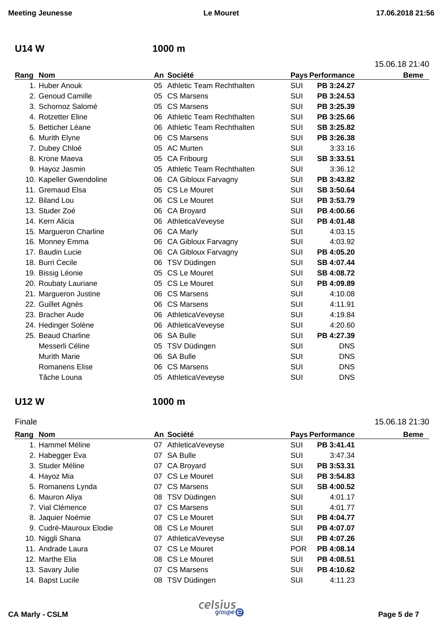### **U14 W 1000 m**

15.06.18 21:40

| Rang Nom |                         |    | An Société                   |            | <b>Pays Performance</b> | <b>Beme</b> |
|----------|-------------------------|----|------------------------------|------------|-------------------------|-------------|
|          | 1. Huber Anouk          |    | 05 Athletic Team Rechthalten | SUI        | PB 3:24.27              |             |
|          | 2. Genoud Camille       |    | 05 CS Marsens                | SUI        | PB 3:24.53              |             |
|          | 3. Schornoz Salomé      |    | 05 CS Marsens                | SUI        | PB 3:25.39              |             |
|          | 4. Rotzetter Eline      | 06 | Athletic Team Rechthalten    | <b>SUI</b> | PB 3:25.66              |             |
|          | 5. Betticher Léane      | 06 | Athletic Team Rechthalten    | SUI        | SB 3:25.82              |             |
|          | 6. Murith Elyne         | 06 | <b>CS Marsens</b>            | SUI        | PB 3:26.38              |             |
|          | 7. Dubey Chloé          |    | 05 AC Murten                 | <b>SUI</b> | 3:33.16                 |             |
|          | 8. Krone Maeva          | 05 | CA Fribourg                  | SUI        | SB 3:33.51              |             |
|          | 9. Hayoz Jasmin         |    | 05 Athletic Team Rechthalten | <b>SUI</b> | 3:36.12                 |             |
|          | 10. Kapeller Gwendoline | 06 | CA Gibloux Farvagny          | <b>SUI</b> | PB 3:43.82              |             |
|          | 11. Gremaud Elsa        |    | 05 CS Le Mouret              | SUI        | SB 3:50.64              |             |
|          | 12. Biland Lou          |    | 06 CS Le Mouret              | <b>SUI</b> | PB 3:53.79              |             |
|          | 13. Studer Zoé          | 06 | <b>CA Broyard</b>            | <b>SUI</b> | PB 4:00.66              |             |
|          | 14. Kern Alicia         | 06 | AthleticaVeveyse             | <b>SUI</b> | PB 4:01.48              |             |
|          | 15. Margueron Charline  |    | 06 CA Marly                  | SUI        | 4:03.15                 |             |
|          | 16. Monney Emma         |    | 06 CA Gibloux Farvagny       | <b>SUI</b> | 4:03.92                 |             |
|          | 17. Baudin Lucie        |    | 06 CA Gibloux Farvagny       | SUI        | PB 4:05.20              |             |
|          | 18. Burri Cecile        | 06 | TSV Düdingen                 | <b>SUI</b> | SB 4:07.44              |             |
|          | 19. Bissig Léonie       | 05 | CS Le Mouret                 | <b>SUI</b> | SB 4:08.72              |             |
|          | 20. Roubaty Lauriane    |    | 05 CS Le Mouret              | <b>SUI</b> | PB 4:09.89              |             |
|          | 21. Margueron Justine   | 06 | <b>CS Marsens</b>            | <b>SUI</b> | 4:10.08                 |             |
|          | 22. Guillet Agnès       | 06 | <b>CS Marsens</b>            | <b>SUI</b> | 4:11.91                 |             |
|          | 23. Bracher Aude        | 06 | AthleticaVeveyse             | <b>SUI</b> | 4:19.84                 |             |
|          | 24. Hedinger Solène     |    | 06 AthleticaVeveyse          | <b>SUI</b> | 4:20.60                 |             |
|          | 25. Beaud Charline      | 06 | SA Bulle                     | <b>SUI</b> | PB 4:27.39              |             |
|          | Messerli Céline         |    | 05 TSV Düdingen              | <b>SUI</b> | <b>DNS</b>              |             |
|          | <b>Murith Marie</b>     | 06 | SA Bulle                     | <b>SUI</b> | <b>DNS</b>              |             |
|          | <b>Romanens Elise</b>   | 06 | <b>CS Marsens</b>            | SUI        | <b>DNS</b>              |             |
|          | Tâche Louna             |    | 05 AthleticaVeveyse          | <b>SUI</b> | <b>DNS</b>              |             |
|          |                         |    |                              |            |                         |             |

### **U12 W 1000 m**

### Finale 15.06.18 21:30

|                                                                                                                                                                                                                                                                                                     |                                                                                                                                                                                                                                                                                  |                                                                                                | <b>Beme</b>                                                                                                                                                         |
|-----------------------------------------------------------------------------------------------------------------------------------------------------------------------------------------------------------------------------------------------------------------------------------------------------|----------------------------------------------------------------------------------------------------------------------------------------------------------------------------------------------------------------------------------------------------------------------------------|------------------------------------------------------------------------------------------------|---------------------------------------------------------------------------------------------------------------------------------------------------------------------|
|                                                                                                                                                                                                                                                                                                     |                                                                                                                                                                                                                                                                                  |                                                                                                |                                                                                                                                                                     |
|                                                                                                                                                                                                                                                                                                     |                                                                                                                                                                                                                                                                                  | 3:47.34                                                                                        |                                                                                                                                                                     |
|                                                                                                                                                                                                                                                                                                     |                                                                                                                                                                                                                                                                                  |                                                                                                |                                                                                                                                                                     |
|                                                                                                                                                                                                                                                                                                     |                                                                                                                                                                                                                                                                                  |                                                                                                |                                                                                                                                                                     |
|                                                                                                                                                                                                                                                                                                     |                                                                                                                                                                                                                                                                                  |                                                                                                |                                                                                                                                                                     |
|                                                                                                                                                                                                                                                                                                     |                                                                                                                                                                                                                                                                                  | 4:01.17                                                                                        |                                                                                                                                                                     |
|                                                                                                                                                                                                                                                                                                     |                                                                                                                                                                                                                                                                                  | 4:01.77                                                                                        |                                                                                                                                                                     |
|                                                                                                                                                                                                                                                                                                     |                                                                                                                                                                                                                                                                                  |                                                                                                |                                                                                                                                                                     |
|                                                                                                                                                                                                                                                                                                     |                                                                                                                                                                                                                                                                                  |                                                                                                |                                                                                                                                                                     |
|                                                                                                                                                                                                                                                                                                     |                                                                                                                                                                                                                                                                                  |                                                                                                |                                                                                                                                                                     |
|                                                                                                                                                                                                                                                                                                     |                                                                                                                                                                                                                                                                                  |                                                                                                |                                                                                                                                                                     |
|                                                                                                                                                                                                                                                                                                     |                                                                                                                                                                                                                                                                                  |                                                                                                |                                                                                                                                                                     |
|                                                                                                                                                                                                                                                                                                     |                                                                                                                                                                                                                                                                                  |                                                                                                |                                                                                                                                                                     |
|                                                                                                                                                                                                                                                                                                     |                                                                                                                                                                                                                                                                                  | 4:11.23                                                                                        |                                                                                                                                                                     |
| Rang Nom<br>1. Hammel Méline<br>2. Habegger Eva<br>3. Studer Méline<br>4. Hayoz Mia<br>5. Romanens Lynda<br>6. Mauron Aliya<br>7. Vial Clémence<br>8. Jaquier Noémie<br>9. Cudré-Mauroux Elodie<br>10. Niggli Shana<br>11. Andrade Laura<br>12. Marthe Elia<br>13. Savary Julie<br>14. Bapst Lucile | An Société<br>07 AthleticaVeveyse<br>07 SA Bulle<br>07 CA Broyard<br>07 CS Le Mouret<br>07 CS Marsens<br>08 TSV Düdingen<br>07 CS Marsens<br>07 CS Le Mouret<br>08 CS Le Mouret<br>07 AthleticaVeveyse<br>07 CS Le Mouret<br>08 CS Le Mouret<br>07 CS Marsens<br>08 TSV Düdingen | SUI<br>SUI<br>SUI<br>SUI<br>SUI<br>SUI<br>SUI<br>SUI<br>SUI<br>SUI<br>POR<br>SUI<br>SUI<br>SUI | <b>Pays Performance</b><br>PB 3:41.41<br>PB 3:53.31<br>PB 3:54.83<br>SB 4:00.52<br>PB 4:04.77<br>PB 4:07.07<br>PB 4:07.26<br>PB 4:08.14<br>PB 4:08.51<br>PB 4:10.62 |

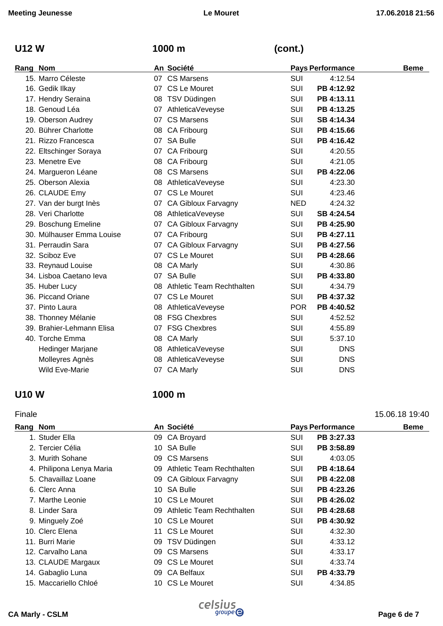### **U12 W 1000 m (cont.)**

| Rang Nom |                           | An Société                   |            | <b>Pays Performance</b> | <b>Beme</b> |
|----------|---------------------------|------------------------------|------------|-------------------------|-------------|
|          | 15. Marro Céleste         | 07 CS Marsens                | <b>SUI</b> | 4:12.54                 |             |
|          | 16. Gedik Ilkay           | 07 CS Le Mouret              | <b>SUI</b> | PB 4:12.92              |             |
|          | 17. Hendry Seraina        | 08 TSV Düdingen              | <b>SUI</b> | PB 4:13.11              |             |
|          | 18. Genoud Léa            | 07 AthleticaVeveyse          | SUI        | PB 4:13.25              |             |
|          | 19. Oberson Audrey        | 07 CS Marsens                | <b>SUI</b> | SB 4:14.34              |             |
|          | 20. Bührer Charlotte      | 08 CA Fribourg               | <b>SUI</b> | PB 4:15.66              |             |
|          | 21. Rizzo Francesca       | 07 SA Bulle                  | <b>SUI</b> | PB 4:16.42              |             |
|          | 22. Eltschinger Soraya    | 07 CA Fribourg               | <b>SUI</b> | 4:20.55                 |             |
|          | 23. Menetre Eve           | 08 CA Fribourg               | <b>SUI</b> | 4:21.05                 |             |
|          | 24. Margueron Léane       | 08 CS Marsens                | <b>SUI</b> | PB 4:22.06              |             |
|          | 25. Oberson Alexia        | 08 AthleticaVeveyse          | <b>SUI</b> | 4:23.30                 |             |
|          | 26. CLAUDE Emy            | 07 CS Le Mouret              | <b>SUI</b> | 4:23.46                 |             |
|          | 27. Van der burgt Inès    | 07 CA Gibloux Farvagny       | <b>NED</b> | 4:24.32                 |             |
|          | 28. Veri Charlotte        | 08 AthleticaVeveyse          | SUI        | SB 4:24.54              |             |
|          | 29. Boschung Emeline      | 07 CA Gibloux Farvagny       | SUI        | PB 4:25.90              |             |
|          | 30. Mülhauser Emma Louise | 07 CA Fribourg               | <b>SUI</b> | PB 4:27.11              |             |
|          | 31. Perraudin Sara        | 07 CA Gibloux Farvagny       | SUI        | PB 4:27.56              |             |
|          | 32. Sciboz Eve            | 07 CS Le Mouret              | <b>SUI</b> | PB 4:28.66              |             |
|          | 33. Reynaud Louise        | 08 CA Marly                  | <b>SUI</b> | 4:30.86                 |             |
|          | 34. Lisboa Caetano leva   | 07 SA Bulle                  | SUI        | PB 4:33.80              |             |
|          | 35. Huber Lucy            | 08 Athletic Team Rechthalten | <b>SUI</b> | 4:34.79                 |             |
|          | 36. Piccand Oriane        | 07 CS Le Mouret              | <b>SUI</b> | PB 4:37.32              |             |
|          | 37. Pinto Laura           | 08 AthleticaVeveyse          | <b>POR</b> | PB 4:40.52              |             |
|          | 38. Thonney Mélanie       | 08 FSG Chexbres              | <b>SUI</b> | 4:52.52                 |             |
|          | 39. Brahier-Lehmann Elisa | 07 FSG Chexbres              | SUI        | 4:55.89                 |             |
|          | 40. Torche Emma           | 08 CA Marly                  | <b>SUI</b> | 5:37.10                 |             |
|          | Hedinger Marjane          | 08 AthleticaVeveyse          | <b>SUI</b> | <b>DNS</b>              |             |
|          | Molleyres Agnès           | 08 AthleticaVeveyse          | SUI        | <b>DNS</b>              |             |
|          | <b>Wild Eve-Marie</b>     | 07 CA Marly                  | SUI        | <b>DNS</b>              |             |

### **U10 W 1000 m**

Finale 15.06.18 19:40

### **Rang** Nom **Beme An Société Pays** Performance **Beme** 1. Studer Ella 09 CA Broyard SUI **PB 3:27.33** 2. Tercier Célia **10 SA Bulle 10 SA Bulle** SUI **PB 3:58.89** 3. Murith Sohane **09 CS Marsens** SUI 4:03.05 4. Philipona Lenya Maria 09 Athletic Team Rechthalten SUI **PB 4:18.64** 5. Chavaillaz Loane 09 CA Gibloux Farvagny SUI **PB 4:22.08** 6. Clerc Anna 10 SA Bulle SUI **PB 4:23.26** 7. Marthe Leonie 10 CS Le Mouret SUI **PB 4:26.02** 8. Linder Sara 09 Athletic Team Rechthalten SUI **PB 4:28.68** 9. Minguely Zoé 10 CS Le Mouret SUI **PB 4:30.92** 10. Clerc Elena 11 CS Le Mouret 50 Contracts CSUI 4:32.30 11. Burri Marie 09 TSV Düdingen SUI 4:33.12 12. Carvalho Lana 09 CS Marsens SUI 4:33.17 13. CLAUDE Margaux **09 CS Le Mouret 13. CLAUDE Margaux** 09 CS Le Mouret **SUI** 4:33.74 14. Gabaglio Luna 09 CA Belfaux SUI **PB 4:33.79** 15. Maccariello Chloé **10 CS Le Mouret** 15. Maccariello Chloé